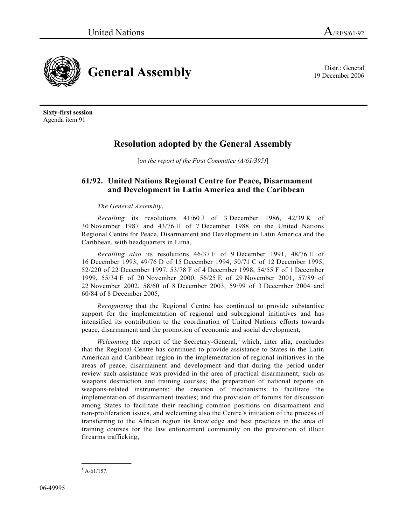19 December 2006

**General Assembly** Distr.: General **Constant Constant Distrement** 2006

**Sixty-first session**  Agenda item 91

## **Resolution adopted by the General Assembly**

[*on the report of the First Committee (A/61/395)*]

## **61/92. United Nations Regional Centre for Peace, Disarmament and Development in Latin America and the Caribbean**

## *The General Assembly*,

*Recalling* its resolutions 41/60 J of 3 December 1986, 42/39 K of 30 November 1987 and 43/76 H of 7 December 1988 on the United Nations Regional Centre for Peace, Disarmament and Development in Latin America and the Caribbean, with headquarters in Lima,

*Recalling also* its resolutions 46/37 F of 9 December 1991, 48/76 E of 16 December 1993, 49/76 D of 15 December 1994, 50/71 C of 12 December 1995, 52/220 of 22 December 1997, 53/78 F of 4 December 1998, 54/55 F of 1 December 1999, 55/34 E of 20 November 2000, 56/25 E of 29 November 2001, 57/89 of 22 November 2002, 58/60 of 8 December 2003, 59/99 of 3 December 2004 and 60/84 of 8 December 2005,

*Recognizing* that the Regional Centre has continued to provide substantive support for the implementation of regional and subregional initiatives and has intensified its contribution to the coordination of United Nations efforts towards peace, disarmament and the promotion of economic and social development,

Welcoming the report of the Secretary-General,<sup>1</sup> which, inter alia, concludes that the Regional Centre has continued to provide assistance to States in the Latin American and Caribbean region in the implementation of regional initiatives in the areas of peace, disarmament and development and that during the period under review such assistance was provided in the area of practical disarmament, such as weapons destruction and training courses; the preparation of national reports on weapons-related instruments; the creation of mechanisms to facilitate the implementation of disarmament treaties; and the provision of forums for discussion among States to facilitate their reaching common positions on disarmament and non-proliferation issues, and welcoming also the Centre's initiation of the process of transferring to the African region its knowledge and best practices in the area of training courses for the law enforcement community on the prevention of illicit firearms trafficking,

 $^{1}$  A/61/157.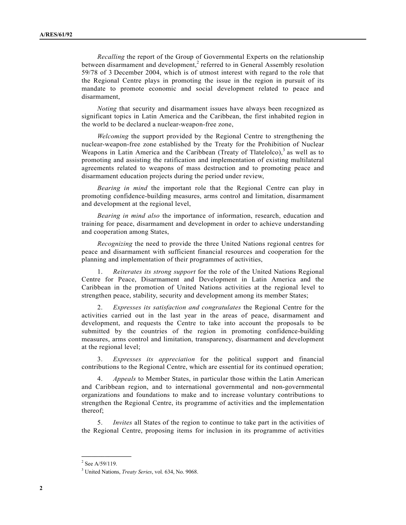*Recalling* the report of the Group of Governmental Experts on the relationship between disarmament and development,<sup>2</sup> referred to in General Assembly resolution 59/78 of 3 December 2004, which is of utmost interest with regard to the role that the Regional Centre plays in promoting the issue in the region in pursuit of its mandate to promote economic and social development related to peace and disarmament,

*Noting* that security and disarmament issues have always been recognized as significant topics in Latin America and the Caribbean, the first inhabited region in the world to be declared a nuclear-weapon-free zone,

*Welcoming* the support provided by the Regional Centre to strengthening the nuclear-weapon-free zone established by the Treaty for the Prohibition of Nuclear Weapons in Latin America and the Caribbean (Treaty of Tlatelolco), $3$  as well as to promoting and assisting the ratification and implementation of existing multilateral agreements related to weapons of mass destruction and to promoting peace and disarmament education projects during the period under review,

*Bearing in mind* the important role that the Regional Centre can play in promoting confidence-building measures, arms control and limitation, disarmament and development at the regional level,

*Bearing in mind also* the importance of information, research, education and training for peace, disarmament and development in order to achieve understanding and cooperation among States,

*Recognizing* the need to provide the three United Nations regional centres for peace and disarmament with sufficient financial resources and cooperation for the planning and implementation of their programmes of activities,

 1. *Reiterates its strong support* for the role of the United Nations Regional Centre for Peace, Disarmament and Development in Latin America and the Caribbean in the promotion of United Nations activities at the regional level to strengthen peace, stability, security and development among its member States;

 2. *Expresses its satisfaction and congratulates* the Regional Centre for the activities carried out in the last year in the areas of peace, disarmament and development, and requests the Centre to take into account the proposals to be submitted by the countries of the region in promoting confidence-building measures, arms control and limitation, transparency, disarmament and development at the regional level;

 3. *Expresses its appreciation* for the political support and financial contributions to the Regional Centre, which are essential for its continued operation;

 4. *Appeals* to Member States, in particular those within the Latin American and Caribbean region, and to international governmental and non-governmental organizations and foundations to make and to increase voluntary contributions to strengthen the Regional Centre, its programme of activities and the implementation thereof;

 5. *Invites* all States of the region to continue to take part in the activities of the Regional Centre, proposing items for inclusion in its programme of activities

**\_\_\_\_\_\_\_\_\_\_\_\_\_\_\_** 

 $2$  See A/59/119.

<sup>3</sup> United Nations, *Treaty Series*, vol. 634, No. 9068.